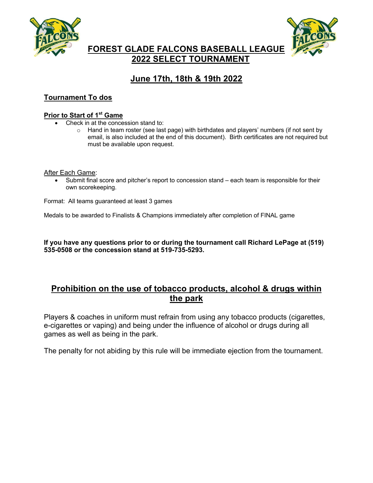



**FOREST GLADE FALCONS BASEBALL LEAGUE 2022 SELECT TOURNAMENT**

# **June 17th, 18th & 19th 2022**

## **Tournament To dos**

## **Prior to Start of 1st Game**

- Check in at the concession stand to:
	- $\circ$  Hand in team roster (see last page) with birthdates and players' numbers (if not sent by email, is also included at the end of this document). Birth certificates are not required but must be available upon request.

#### After Each Game:

• Submit final score and pitcher's report to concession stand – each team is responsible for their own scorekeeping.

Format: All teams guaranteed at least 3 games

Medals to be awarded to Finalists & Champions immediately after completion of FINAL game

**If you have any questions prior to or during the tournament call Richard LePage at (519) 535-0508 or the concession stand at 519-735-5293.**

## **Prohibition on the use of tobacco products, alcohol & drugs within the park**

Players & coaches in uniform must refrain from using any tobacco products (cigarettes, e-cigarettes or vaping) and being under the influence of alcohol or drugs during all games as well as being in the park.

The penalty for not abiding by this rule will be immediate ejection from the tournament.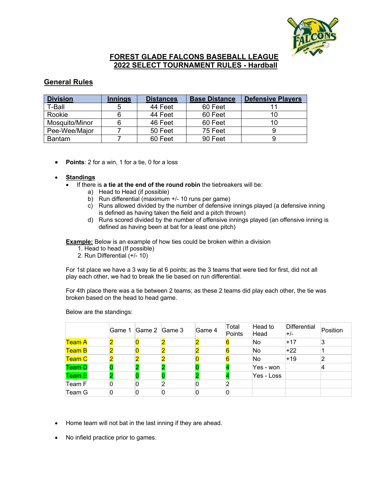

## **FOREST GLADE FALCONS BASEBALL LEAGUE 2022 SELECT TOURNAMENT RULES - Hardball**

## **General Rules**

| <b>Division</b> | <b>Innings</b> | <b>Distances</b> | <b>Base Distance</b> | <b>Defensive Players</b> |  |
|-----------------|----------------|------------------|----------------------|--------------------------|--|
| T-Ball          |                | 44 Feet          | 60 Feet              |                          |  |
| Rookie          |                | 44 Feet          | 60 Feet              |                          |  |
| Mosquito/Minor  |                | 46 Feet          | 60 Feet              |                          |  |
| Pee-Wee/Major   |                | 50 Feet          | 75 Feet              |                          |  |
| <b>Bantam</b>   |                | 60 Feet          | 90 Feet              |                          |  |

• **Points**: 2 for a win, 1 for a tie, 0 for a loss

#### • **Standings**

- If there is **a tie at the end of the round robin** the tiebreakers will be:
	- a) Head to Head (if possible)
	- b) Run differential (maximum +/- 10 runs per game)
	- c) Runs allowed divided by the number of defensive innings played (a defensive inning is defined as having taken the field and a pitch thrown)
	- d) Runs scored divided by the number of offensive innings played (an offensive inning is defined as having been at bat for a least one pitch)

**Example:** Below is an example of how ties could be broken within a division

- 1. Head to head (If possible)
- 2. Run Differential (+/- 10)

For 1st place we have a 3 way tie at 6 points; as the 3 teams that were tied for first, did not all play each other, we had to break the tie based on run differential.

For 4th place there was a tie between 2 teams; as these 2 teams did play each other, the tie was broken based on the head to head game.

Below are the standings:

|               | Game 1 Game 2 Game 3 | Game 4 | Total<br>Points | Head to<br>Head | Differential<br>$+/-$ | Position |
|---------------|----------------------|--------|-----------------|-----------------|-----------------------|----------|
| <b>Team A</b> |                      |        |                 | No              | $+17$                 | 3        |
| <b>Team B</b> |                      |        |                 | No              | $+22$                 |          |
| <b>Team C</b> |                      |        |                 | No              | $+19$                 |          |
| <b>Team D</b> |                      |        |                 | Yes - won       |                       |          |
| <b>Team E</b> |                      |        |                 | Yes - Loss      |                       |          |
| Team F        | O                    | 0      |                 |                 |                       |          |
| Team G        | O                    | 0      | 0               |                 |                       |          |

- Home team will not bat in the last inning if they are ahead.
- No infield practice prior to games.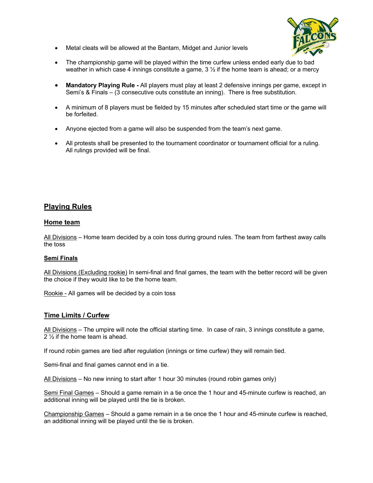

- Metal cleats will be allowed at the Bantam, Midget and Junior levels
- The championship game will be played within the time curfew unless ended early due to bad weather in which case 4 innings constitute a game,  $3\frac{1}{2}$  if the home team is ahead; or a mercy
- **Mandatory Playing Rule -** All players must play at least 2 defensive innings per game, except in Semi's & Finals – (3 consecutive outs constitute an inning). There is free substitution.
- A minimum of 8 players must be fielded by 15 minutes after scheduled start time or the game will be forfeited.
- Anyone ejected from a game will also be suspended from the team's next game.
- All protests shall be presented to the tournament coordinator or tournament official for a ruling. All rulings provided will be final.

## **Playing Rules**

#### **Home team**

All Divisions – Home team decided by a coin toss during ground rules. The team from farthest away calls the toss

#### **Semi Finals**

All Divisions (Excluding rookie) In semi-final and final games, the team with the better record will be given the choice if they would like to be the home team.

Rookie - All games will be decided by a coin toss

#### **Time Limits / Curfew**

All Divisions – The umpire will note the official starting time. In case of rain, 3 innings constitute a game, 2 ½ if the home team is ahead.

If round robin games are tied after regulation (innings or time curfew) they will remain tied.

Semi-final and final games cannot end in a tie.

All Divisions – No new inning to start after 1 hour 30 minutes (round robin games only)

Semi Final Games – Should a game remain in a tie once the 1 hour and 45-minute curfew is reached, an additional inning will be played until the tie is broken.

Championship Games – Should a game remain in a tie once the 1 hour and 45-minute curfew is reached, an additional inning will be played until the tie is broken.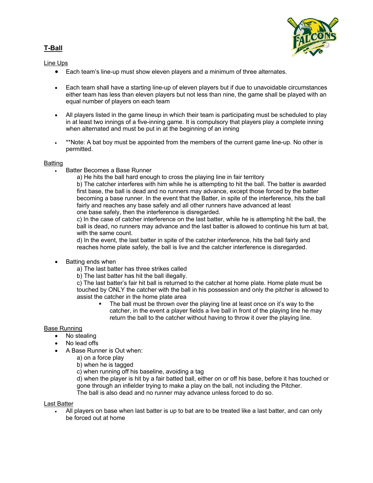## **T-Ball**



#### Line Ups

- Each team's line-up must show eleven players and a minimum of three alternates.
- Each team shall have a starting line-up of eleven players but if due to unavoidable circumstances either team has less than eleven players but not less than nine, the game shall be played with an equal number of players on each team
- All players listed in the game lineup in which their team is participating must be scheduled to play in at least two innings of a five-inning game. It is compulsory that players play a complete inning when alternated and must be put in at the beginning of an inning
- \*\*Note: A bat boy must be appointed from the members of the current game line-up. No other is permitted.

#### Batting

- Batter Becomes a Base Runner
	- a) He hits the ball hard enough to cross the playing line in fair territory

b) The catcher interferes with him while he is attempting to hit the ball. The batter is awarded first base, the ball is dead and no runners may advance, except those forced by the batter becoming a base runner. In the event that the Batter, in spite of the interference, hits the ball fairly and reaches any base safely and all other runners have advanced at least one base safely, then the interference is disregarded.

c) In the case of catcher interference on the last batter, while he is attempting hit the ball, the ball is dead, no runners may advance and the last batter is allowed to continue his turn at bat, with the same count.

d) In the event, the last batter in spite of the catcher interference, hits the ball fairly and reaches home plate safely, the ball is live and the catcher interference is disregarded.

- **Batting ends when** 
	- a) The last batter has three strikes called
	- b) The last batter has hit the ball illegally.

c) The last batter's fair hit ball is returned to the catcher at home plate. Home plate must be touched by ONLY the catcher with the ball in his possession and only the pitcher is allowed to assist the catcher in the home plate area

The ball must be thrown over the playing line at least once on it's way to the catcher, in the event a player fields a live ball in front of the playing line he may return the ball to the catcher without having to throw it over the playing line.

#### Base Running

- No stealing
- No lead offs
- A Base Runner is Out when:

a) on a force play

b) when he is tagged

c) when running off his baseline, avoiding a tag

d) when the player is hit by a fair batted ball, either on or off his base, before it has touched or gone through an infielder trying to make a play on the ball, not including the Pitcher. The ball is also dead and no runner may advance unless forced to do so.

Last Batter

• All players on base when last batter is up to bat are to be treated like a last batter, and can only be forced out at home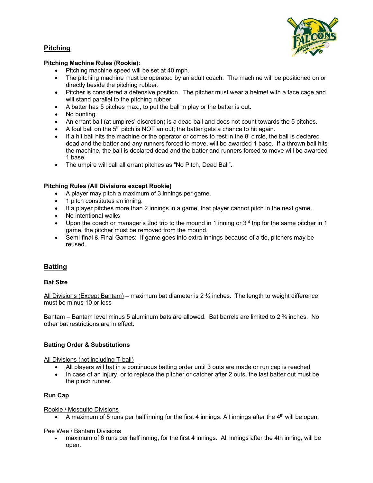



#### **Pitching Machine Rules (Rookie):**

- Pitching machine speed will be set at 40 mph.
- The pitching machine must be operated by an adult coach. The machine will be positioned on or directly beside the pitching rubber.
- Pitcher is considered a defensive position. The pitcher must wear a helmet with a face cage and will stand parallel to the pitching rubber.
- A batter has 5 pitches max., to put the ball in play or the batter is out.
- No bunting.
- An errant ball (at umpires' discretion) is a dead ball and does not count towards the 5 pitches.
- A foul ball on the  $5<sup>th</sup>$  pitch is NOT an out; the batter gets a chance to hit again.
- If a hit ball hits the machine or the operator or comes to rest in the 8' circle, the ball is declared dead and the batter and any runners forced to move, will be awarded 1 base. If a thrown ball hits the machine, the ball is declared dead and the batter and runners forced to move will be awarded 1 base.
- The umpire will call all errant pitches as "No Pitch, Dead Ball".

#### **Pitching Rules (All Divisions except Rookie)**

- A player may pitch a maximum of 3 innings per game.
- 1 pitch constitutes an inning.
- If a player pitches more than 2 innings in a game, that player cannot pitch in the next game.
- No intentional walks
- Upon the coach or manager's 2nd trip to the mound in 1 inning or  $3<sup>rd</sup>$  trip for the same pitcher in 1 game, the pitcher must be removed from the mound.
- Semi-final & Final Games: If game goes into extra innings because of a tie, pitchers may be reused.

## **Batting**

#### **Bat Size**

All Divisions (Except Bantam) – maximum bat diameter is  $2\frac{3}{4}$  inches. The length to weight difference must be minus 10 or less

Bantam – Bantam level minus 5 aluminum bats are allowed. Bat barrels are limited to 2 ¾ inches. No other bat restrictions are in effect.

#### **Batting Order & Substitutions**

All Divisions (not including T-ball)

- All players will bat in a continuous batting order until 3 outs are made or run cap is reached
- In case of an injury, or to replace the pitcher or catcher after 2 outs, the last batter out must be the pinch runner.

#### **Run Cap**

Rookie / Mosquito Divisions

• A maximum of 5 runs per half inning for the first 4 innings. All innings after the  $4<sup>th</sup>$  will be open,

#### Pee Wee / Bantam Divisions

• maximum of 6 runs per half inning, for the first 4 innings. All innings after the 4th inning, will be open.